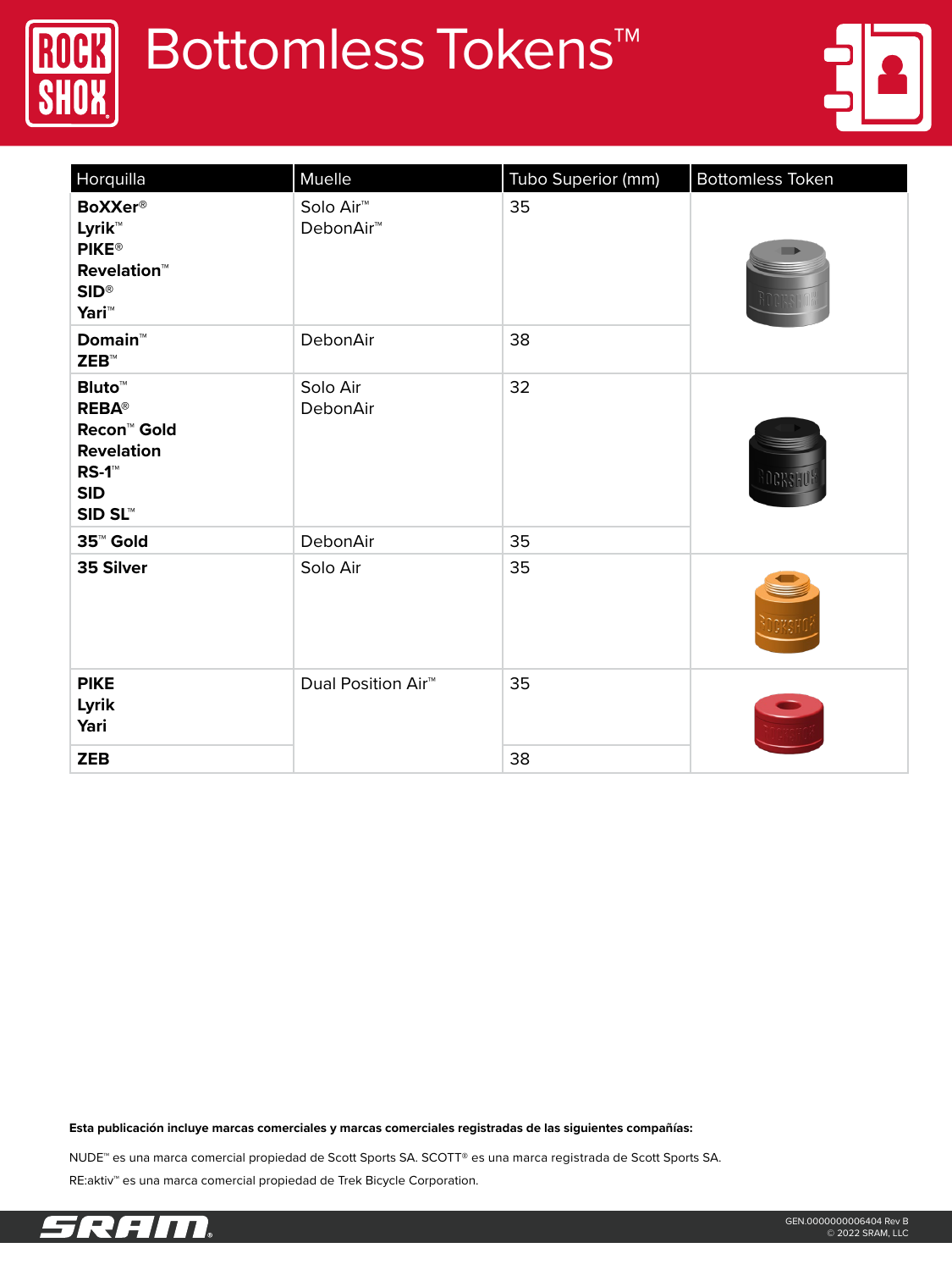

## **Bottomless Tokens™**



| Horquilla                                                                                                                     | Muelle                                         | Tubo Superior (mm) | <b>Bottomless Token</b> |  |
|-------------------------------------------------------------------------------------------------------------------------------|------------------------------------------------|--------------------|-------------------------|--|
| <b>BoXXer®</b><br>Lyrik™<br><b>PIKE®</b><br><b>Revelation™</b><br>$SID^{\circledR}$<br>Yari <sup>™</sup>                      | Solo Air <sup>™</sup><br>DebonAir <sup>™</sup> | 35                 |                         |  |
| <b>Domain™</b><br>$\mathsf{ZEB}^{\scriptscriptstyle \mathsf{TM}}$                                                             | DebonAir                                       | 38                 |                         |  |
| <b>Bluto™</b><br><b>REBA®</b><br>Recon <sup>™</sup> Gold<br><b>Revelation</b><br>$RS-1$ <sup>M</sup><br><b>SID</b><br>SID SL™ | Solo Air<br>DebonAir                           | 32                 |                         |  |
| 35 <sup>™</sup> Gold                                                                                                          | DebonAir                                       | 35                 |                         |  |
| 35 Silver                                                                                                                     | Solo Air                                       | 35                 |                         |  |
| <b>PIKE</b><br>Lyrik<br>Yari                                                                                                  | Dual Position Air <sup>™</sup>                 | 35                 |                         |  |
| <b>ZEB</b>                                                                                                                    |                                                | 38                 |                         |  |

**Esta publicación incluye marcas comerciales y marcas comerciales registradas de las siguientes compañías:** 

NUDE™ es una marca comercial propiedad de Scott Sports SA. SCOTT® es una marca registrada de Scott Sports SA. RE:aktiv™ es una marca comercial propiedad de Trek Bicycle Corporation.